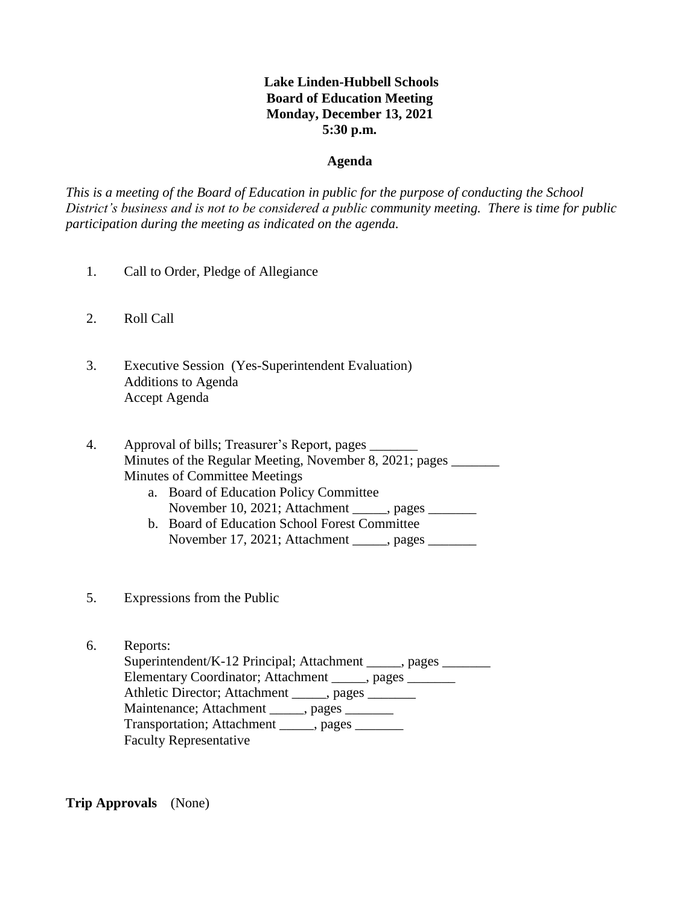# **Lake Linden-Hubbell Schools Board of Education Meeting Monday, December 13, 2021 5:30 p.m.**

#### **Agenda**

*This is a meeting of the Board of Education in public for the purpose of conducting the School District's business and is not to be considered a public community meeting. There is time for public participation during the meeting as indicated on the agenda.*

- 1. Call to Order, Pledge of Allegiance
- 2. Roll Call
- 3. Executive Session (Yes-Superintendent Evaluation) Additions to Agenda Accept Agenda

4. Approval of bills; Treasurer's Report, pages \_\_\_\_\_\_\_ Minutes of the Regular Meeting, November 8, 2021; pages Minutes of Committee Meetings

- a. Board of Education Policy Committee November 10, 2021; Attachment \_\_\_\_\_, pages \_\_\_\_\_\_\_
- b. Board of Education School Forest Committee November 17, 2021; Attachment \_\_\_\_\_, pages \_\_\_\_\_\_\_
- 5. Expressions from the Public
- 6. Reports: Superintendent/K-12 Principal; Attachment \_\_\_\_\_, pages \_\_\_\_\_\_\_ Elementary Coordinator; Attachment \_\_\_\_\_, pages \_\_\_\_\_\_\_ Athletic Director; Attachment \_\_\_\_\_, pages \_\_\_\_\_\_\_ Maintenance; Attachment \_\_\_\_\_, pages \_\_\_\_\_\_ Transportation; Attachment \_\_\_\_\_, pages Faculty Representative

**Trip Approvals** (None)